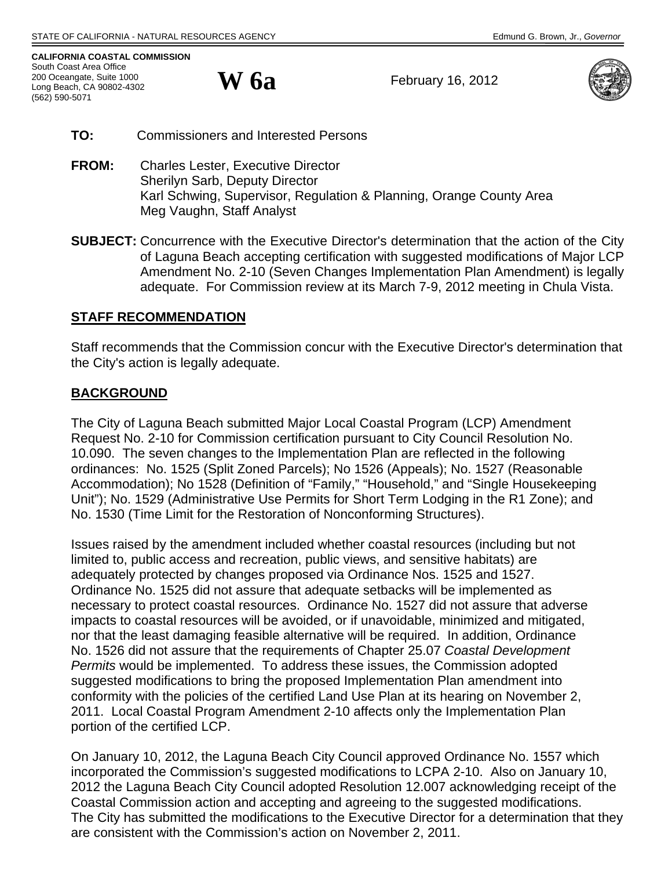**CALIFORNIA COASTAL COMMISSION**  South Coast Area Office 200 Oceangate, Suite 1000 Long Beach, CA 90802-4302 (562) 590-5071

**W 6a** 

February 16, 2012



- **TO:** Commissioners and Interested Persons
- **FROM:** Charles Lester, Executive Director Sherilyn Sarb, Deputy Director Karl Schwing, Supervisor, Regulation & Planning, Orange County Area Meg Vaughn, Staff Analyst
- **SUBJECT:** Concurrence with the Executive Director's determination that the action of the City of Laguna Beach accepting certification with suggested modifications of Major LCP Amendment No. 2-10 (Seven Changes Implementation Plan Amendment) is legally adequate. For Commission review at its March 7-9, 2012 meeting in Chula Vista.

# **STAFF RECOMMENDATION**

Staff recommends that the Commission concur with the Executive Director's determination that the City's action is legally adequate.

# **BACKGROUND**

The City of Laguna Beach submitted Major Local Coastal Program (LCP) Amendment Request No. 2-10 for Commission certification pursuant to City Council Resolution No. 10.090. The seven changes to the Implementation Plan are reflected in the following ordinances: No. 1525 (Split Zoned Parcels); No 1526 (Appeals); No. 1527 (Reasonable Accommodation); No 1528 (Definition of "Family," "Household," and "Single Housekeeping Unit"); No. 1529 (Administrative Use Permits for Short Term Lodging in the R1 Zone); and No. 1530 (Time Limit for the Restoration of Nonconforming Structures).

Issues raised by the amendment included whether coastal resources (including but not limited to, public access and recreation, public views, and sensitive habitats) are adequately protected by changes proposed via Ordinance Nos. 1525 and 1527. Ordinance No. 1525 did not assure that adequate setbacks will be implemented as necessary to protect coastal resources. Ordinance No. 1527 did not assure that adverse impacts to coastal resources will be avoided, or if unavoidable, minimized and mitigated, nor that the least damaging feasible alternative will be required. In addition, Ordinance No. 1526 did not assure that the requirements of Chapter 25.07 *Coastal Development Permits* would be implemented. To address these issues, the Commission adopted suggested modifications to bring the proposed Implementation Plan amendment into conformity with the policies of the certified Land Use Plan at its hearing on November 2, 2011. Local Coastal Program Amendment 2-10 affects only the Implementation Plan portion of the certified LCP.

On January 10, 2012, the Laguna Beach City Council approved Ordinance No. 1557 which incorporated the Commission's suggested modifications to LCPA 2-10. Also on January 10, 2012 the Laguna Beach City Council adopted Resolution 12.007 acknowledging receipt of the Coastal Commission action and accepting and agreeing to the suggested modifications. The City has submitted the modifications to the Executive Director for a determination that they are consistent with the Commission's action on November 2, 2011.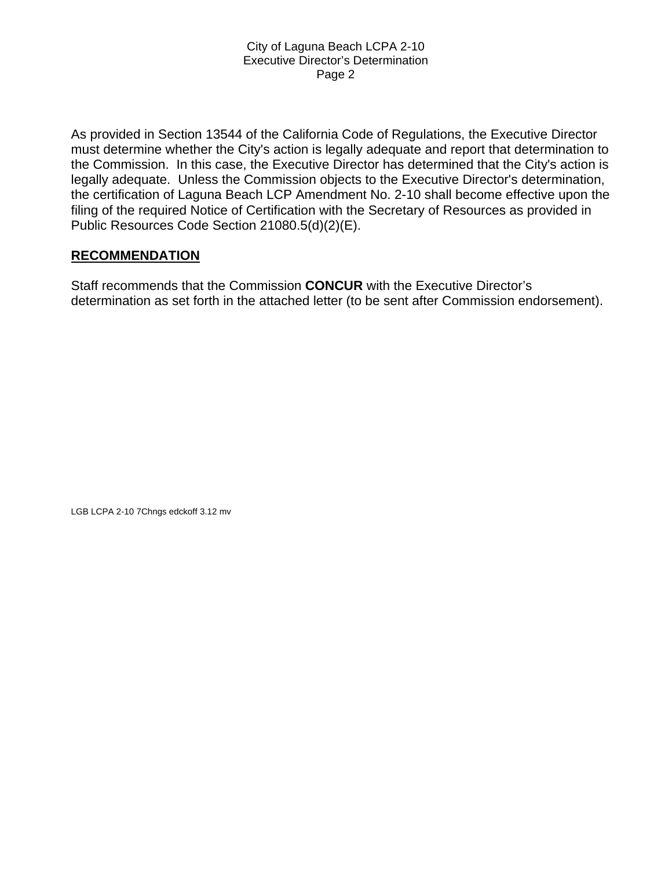As provided in Section 13544 of the California Code of Regulations, the Executive Director must determine whether the City's action is legally adequate and report that determination to the Commission. In this case, the Executive Director has determined that the City's action is legally adequate. Unless the Commission objects to the Executive Director's determination, the certification of Laguna Beach LCP Amendment No. 2-10 shall become effective upon the filing of the required Notice of Certification with the Secretary of Resources as provided in Public Resources Code Section 21080.5(d)(2)(E).

# **RECOMMENDATION**

Staff recommends that the Commission **CONCUR** with the Executive Director's determination as set forth in the attached letter (to be sent after Commission endorsement).

LGB LCPA 2-10 7Chngs edckoff 3.12 mv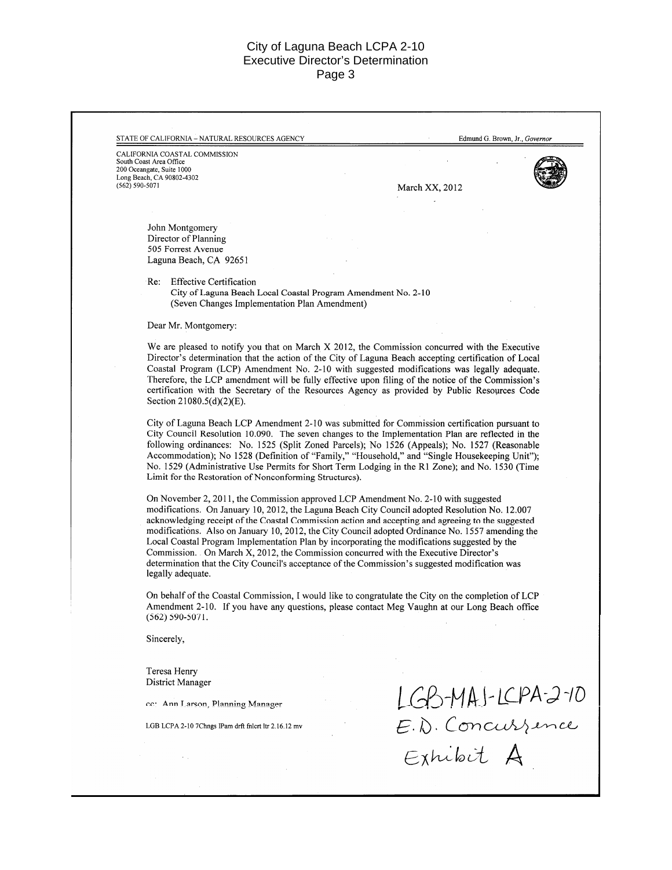|                         | CALIFORNIA COASTAL COMMISSION                                                                                                                                                                   |                                       |  |
|-------------------------|-------------------------------------------------------------------------------------------------------------------------------------------------------------------------------------------------|---------------------------------------|--|
| South Coast Area Office | 200 Oceangate, Suite 1000                                                                                                                                                                       |                                       |  |
|                         | Long Beach, CA 90802-4302                                                                                                                                                                       |                                       |  |
| $(562) 590 - 5071$      |                                                                                                                                                                                                 | March XX, 2012                        |  |
|                         |                                                                                                                                                                                                 |                                       |  |
|                         |                                                                                                                                                                                                 |                                       |  |
|                         | John Montgomery<br>Director of Planning                                                                                                                                                         |                                       |  |
|                         | 505 Forrest Avenue                                                                                                                                                                              |                                       |  |
|                         | Laguna Beach, CA 92651                                                                                                                                                                          |                                       |  |
|                         | <b>Effective Certification</b><br>Re:                                                                                                                                                           |                                       |  |
|                         | City of Laguna Beach Local Coastal Program Amendment No. 2-10                                                                                                                                   |                                       |  |
|                         | (Seven Changes Implementation Plan Amendment)                                                                                                                                                   |                                       |  |
|                         | Dear Mr. Montgomery:                                                                                                                                                                            |                                       |  |
|                         | We are pleased to notify you that on March X 2012, the Commission concurred with the Executive                                                                                                  |                                       |  |
|                         | Director's determination that the action of the City of Laguna Beach accepting certification of Local                                                                                           |                                       |  |
|                         | Coastal Program (LCP) Amendment No. 2-10 with suggested modifications was legally adequate.                                                                                                     |                                       |  |
|                         | Therefore, the LCP amendment will be fully effective upon filing of the notice of the Commission's                                                                                              |                                       |  |
|                         | certification with the Secretary of the Resources Agency as provided by Public Resources Code<br>Section 21080.5(d)(2)(E).                                                                      |                                       |  |
|                         |                                                                                                                                                                                                 |                                       |  |
|                         | City of Laguna Beach LCP Amendment 2-10 was submitted for Commission certification pursuant to                                                                                                  |                                       |  |
|                         | City Council Resolution 10.090. The seven changes to the Implementation Plan are reflected in the                                                                                               |                                       |  |
|                         | following ordinances: No. 1525 (Split Zoned Parcels); No 1526 (Appeals); No. 1527 (Reasonable<br>Accommodation); No 1528 (Definition of "Family," "Household," and "Single Housekeeping Unit"); |                                       |  |
|                         | No. 1529 (Administrative Use Permits for Short Term Lodging in the R1 Zone); and No. 1530 (Time                                                                                                 |                                       |  |
|                         | Limit for the Restoration of Nonconforming Structures).                                                                                                                                         |                                       |  |
|                         | On November 2, 2011, the Commission approved LCP Amendment No. 2-10 with suggested                                                                                                              |                                       |  |
|                         | modifications. On January 10, 2012, the Laguna Beach City Council adopted Resolution No. 12.007                                                                                                 |                                       |  |
|                         | acknowledging receipt of the Coastal Commission action and accepting and agreeing to the suggested                                                                                              |                                       |  |
|                         | modifications. Also on January 10, 2012, the City Council adopted Ordinance No. 1557 amending the                                                                                               |                                       |  |
|                         | Local Coastal Program Implementation Plan by incorporating the modifications suggested by the<br>Commission. On March X, 2012, the Commission concurred with the Executive Director's           |                                       |  |
|                         | determination that the City Council's acceptance of the Commission's suggested modification was                                                                                                 |                                       |  |
|                         | legally adequate.                                                                                                                                                                               |                                       |  |
|                         | On behalf of the Coastal Commission, I would like to congratulate the City on the completion of LCP                                                                                             |                                       |  |
|                         | Amendment 2-10. If you have any questions, please contact Meg Vaughn at our Long Beach office                                                                                                   |                                       |  |
|                         | $(562) 590 - 5071.$                                                                                                                                                                             |                                       |  |
|                         | Sincerely,                                                                                                                                                                                      |                                       |  |
|                         |                                                                                                                                                                                                 |                                       |  |
|                         | Teresa Henry<br>District Manager                                                                                                                                                                |                                       |  |
|                         |                                                                                                                                                                                                 |                                       |  |
|                         | cc: Ann Larson, Planning Manager                                                                                                                                                                |                                       |  |
|                         | LGB LCPA 2-10 7Chngs IPam drft fnlcrt ltr 2.16.12 mv                                                                                                                                            | LGB-MAJ-LCPA-2-10<br>E.D. Concurrence |  |
|                         |                                                                                                                                                                                                 |                                       |  |
|                         |                                                                                                                                                                                                 | Exhibit A                             |  |
|                         |                                                                                                                                                                                                 |                                       |  |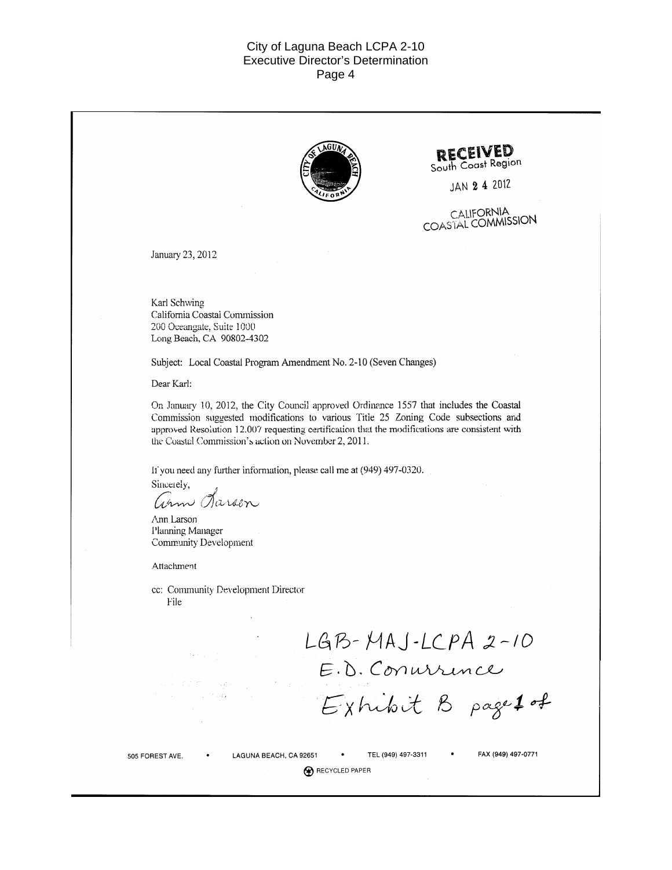

R RECYCLED PAPER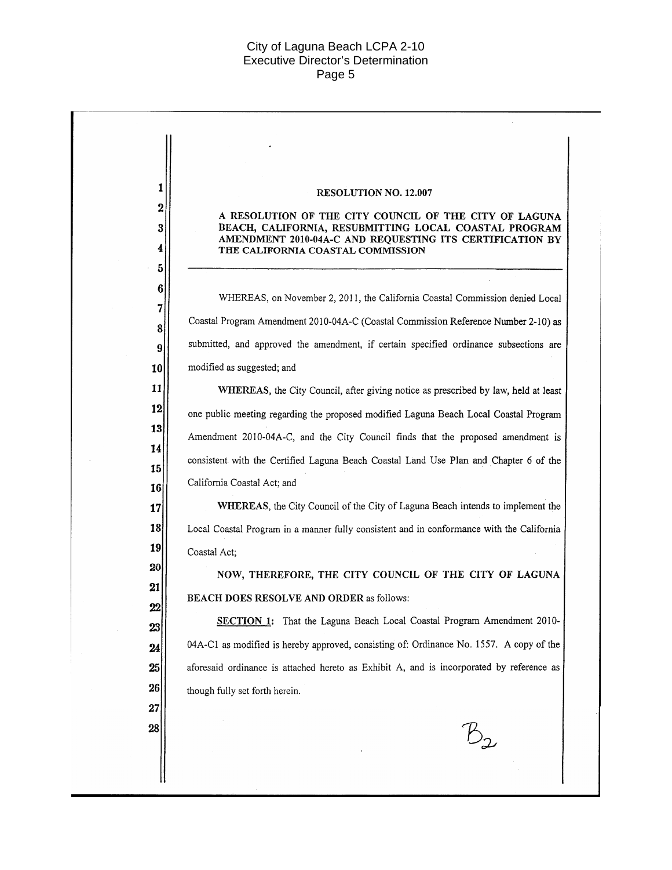$\label{eq:2.1} \frac{1}{\sqrt{2}}\int_{\mathbb{R}^3}\frac{1}{\sqrt{2}}\left(\frac{1}{\sqrt{2}}\right)^2\left(\frac{1}{\sqrt{2}}\right)^2\left(\frac{1}{\sqrt{2}}\right)^2\left(\frac{1}{\sqrt{2}}\right)^2\left(\frac{1}{\sqrt{2}}\right)^2.$ 

| 1<br><b>RESOLUTION NO. 12.007</b>                                                                                      |
|------------------------------------------------------------------------------------------------------------------------|
| 2<br>A RESOLUTION OF THE CITY COUNCIL OF THE CITY OF LAGUNA                                                            |
| BEACH, CALIFORNIA, RESUBMITTING LOCAL COASTAL PROGRAM<br>3<br>AMENDMENT 2010-04A-C AND REQUESTING ITS CERTIFICATION BY |
| 4<br>THE CALIFORNIA COASTAL COMMISSION                                                                                 |
| 5<br>6                                                                                                                 |
| WHEREAS, on November 2, 2011, the California Coastal Commission denied Local<br>7                                      |
| Coastal Program Amendment 2010-04A-C (Coastal Commission Reference Number 2-10) as<br>8                                |
| submitted, and approved the amendment, if certain specified ordinance subsections are<br>9                             |
| modified as suggested; and<br>10                                                                                       |
| 11<br>WHEREAS, the City Council, after giving notice as prescribed by law, held at least                               |
| 12<br>one public meeting regarding the proposed modified Laguna Beach Local Coastal Program                            |
| 13<br>Amendment 2010-04A-C, and the City Council finds that the proposed amendment is                                  |
| 14<br>consistent with the Certified Laguna Beach Coastal Land Use Plan and Chapter 6 of the                            |
| 15<br>California Coastal Act; and                                                                                      |
| 16<br>WHEREAS, the City Council of the City of Laguna Beach intends to implement the<br>17                             |
| 18<br>Local Coastal Program in a manner fully consistent and in conformance with the California                        |
| 19                                                                                                                     |
| Coastal Act;<br>20                                                                                                     |
| NOW, THEREFORE, THE CITY COUNCIL OF THE CITY OF LAGUNA<br>21                                                           |
| BEACH DOES RESOLVE AND ORDER as follows:<br>$\boldsymbol{22}$                                                          |
| SECTION 1: That the Laguna Beach Local Coastal Program Amendment 2010<br>$23\vert$                                     |
| 04A-C1 as modified is hereby approved, consisting of: Ordinance No. 1557. A copy of the<br>24                          |
| aforesaid ordinance is attached hereto as Exhibit A, and is incorporated by reference as<br>$25\,$                     |
| 26 <br>though fully set forth herein.                                                                                  |
| 27                                                                                                                     |
| 28                                                                                                                     |
|                                                                                                                        |
|                                                                                                                        |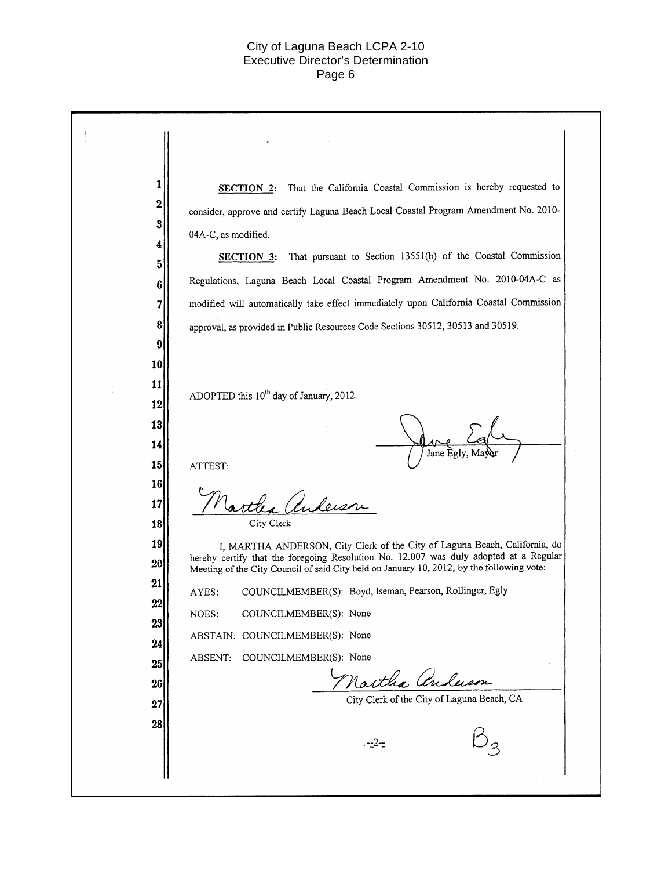| 1           | SECTION 2: That the California Coastal Commission is hereby requested to                                                                                                           |
|-------------|------------------------------------------------------------------------------------------------------------------------------------------------------------------------------------|
| $\mathbf 2$ | consider, approve and certify Laguna Beach Local Coastal Program Amendment No. 2010-                                                                                               |
| 3           | 04A-C, as modified.                                                                                                                                                                |
| 4           | That pursuant to Section 13551(b) of the Coastal Commission<br><b>SECTION 3:</b>                                                                                                   |
| 5<br>6      | Regulations, Laguna Beach Local Coastal Program Amendment No. 2010-04A-C as                                                                                                        |
| 7           | modified will automatically take effect immediately upon California Coastal Commission                                                                                             |
| 8           | approval, as provided in Public Resources Code Sections 30512, 30513 and 30519.                                                                                                    |
| 9           |                                                                                                                                                                                    |
| 10          |                                                                                                                                                                                    |
| 11          | ADOPTED this 10 <sup>th</sup> day of January, 2012.                                                                                                                                |
| 12          |                                                                                                                                                                                    |
| 13          |                                                                                                                                                                                    |
| 14          | Jane Egly                                                                                                                                                                          |
| 15          | ATTEST:                                                                                                                                                                            |
| 16<br>17    |                                                                                                                                                                                    |
| 18          | City Clerk                                                                                                                                                                         |
| 19          | I, MARTHA ANDERSON, City Clerk of the City of Laguna Beach, California, do                                                                                                         |
| 20          | hereby certify that the foregoing Resolution No. 12.007 was duly adopted at a Regular<br>Meeting of the City Council of said City held on January 10, 2012, by the following vote: |
| 21          | COUNCILMEMBER(S): Boyd, Iseman, Pearson, Rollinger, Egly<br>AYES:                                                                                                                  |
| 22          | NOES:<br>COUNCILMEMBER(S): None                                                                                                                                                    |
| 23          | ABSTAIN: COUNCILMEMBER(S): None                                                                                                                                                    |
| 24          | COUNCILMEMBER(S): None<br>ABSENT:                                                                                                                                                  |
| 25          | Martha anderson                                                                                                                                                                    |
| 26          | City Clerk of the City of Laguna Beach, CA                                                                                                                                         |
| 27<br>28    |                                                                                                                                                                                    |
|             | . --2--                                                                                                                                                                            |
|             |                                                                                                                                                                                    |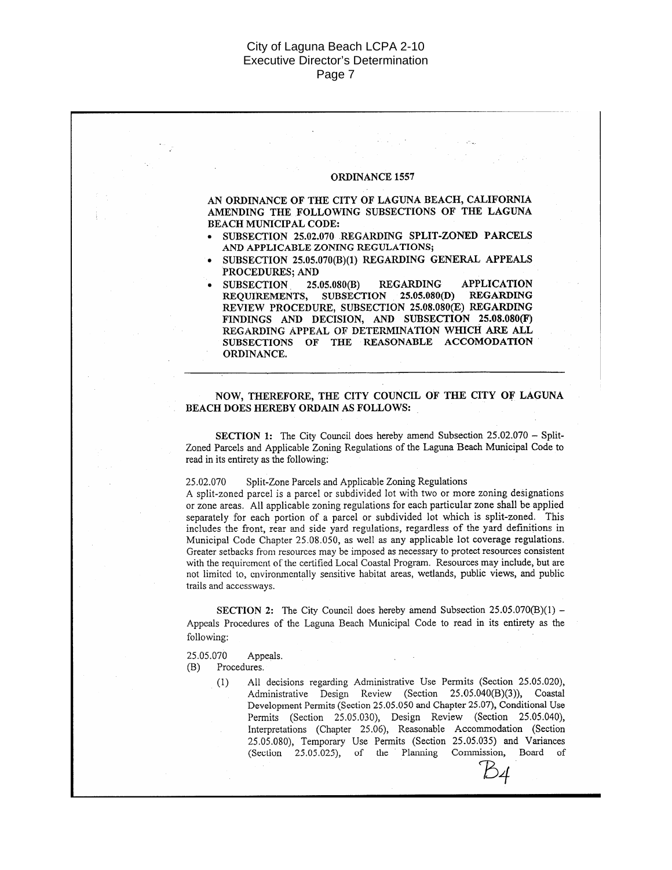### ORDINANCE 1557

AN ORDINANCE OF THE CITY OF LAGUNA BEACH, CALIFORNIA AMENDING THE FOLLOWING SUBSECTIONS OF THE LAGUNA **BEACH MUNICIPAL CODE:** 

- SUBSECTION 25.02.070 REGARDING SPLIT-ZONED PARCELS AND APPLICABLE ZONING REGULATIONS;
- SUBSECTION 25.05.070(B)(1) REGARDING GENERAL APPEALS PROCEDURES; AND
- **SUBSECTION** 25.05.080(B) **REGARDING APPLICATION** REQUIREMENTS, SUBSECTION 25.05.080(D) REGARDING REVIEW PROCEDURE, SUBSECTION 25.08.080(E) REGARDING FINDINGS AND DECISION, AND SUBSECTION 25.08.080(F) REGARDING APPEAL OF DETERMINATION WHICH ARE ALL SUBSECTIONS OF THE REASONABLE ACCOMODATION ORDINANCE.

### NOW, THEREFORE, THE CITY COUNCIL OF THE CITY OF LAGUNA BEACH DOES HEREBY ORDAIN AS FOLLOWS:

SECTION 1: The City Council does hereby amend Subsection 25.02.070 - Split-Zoned Parcels and Applicable Zoning Regulations of the Laguna Beach Municipal Code to read in its entirety as the following:

#### 25.02.070 Split-Zone Parcels and Applicable Zoning Regulations

A split-zoned parcel is a parcel or subdivided lot with two or more zoning designations or zone areas. All applicable zoning regulations for each particular zone shall be applied separately for each portion of a parcel or subdivided lot which is split-zoned. This includes the front, rear and side yard regulations, regardless of the yard definitions in Municipal Code Chapter 25.08.050, as well as any applicable lot coverage regulations. Greater setbacks from resources may be imposed as necessary to protect resources consistent with the requirement of the certified Local Coastal Program. Resources may include, but are not limited to, environmentally sensitive habitat areas, wetlands, public views, and public trails and accessways.

SECTION 2: The City Council does hereby amend Subsection 25.05.070(B)(1) -Appeals Procedures of the Laguna Beach Municipal Code to read in its entirety as the following:

25.05.070 Appeals.

 $(B)$ Procedures.

> All decisions regarding Administrative Use Permits (Section 25.05.020),  $(1)$ Administrative Design Review (Section 25.05.040(B)(3)), Coastal Development Permits (Section 25.05.050 and Chapter 25.07), Conditional Use Permits (Section 25.05.030), Design Review (Section 25.05.040), Interpretations (Chapter 25.06), Reasonable Accommodation (Section 25.05.080), Temporary Use Permits (Section 25.05.035) and Variances (Section 25.05.025), of the Planning Commission, Board of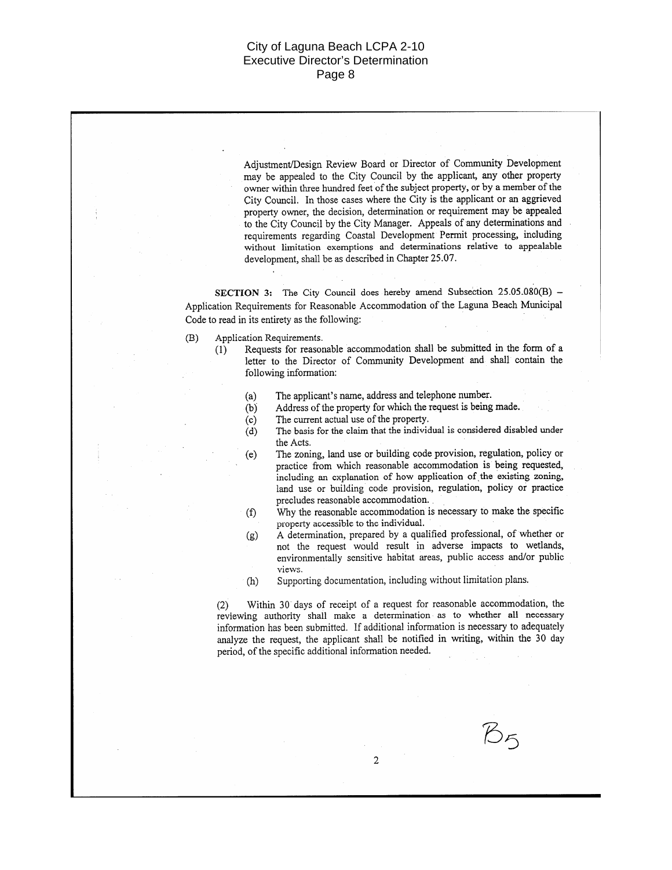Adjustment/Design Review Board or Director of Community Development may be appealed to the City Council by the applicant, any other property owner within three hundred feet of the subject property, or by a member of the City Council. In those cases where the City is the applicant or an aggrieved property owner, the decision, determination or requirement may be appealed to the City Council by the City Manager. Appeals of any determinations and requirements regarding Coastal Development Permit processing, including without limitation exemptions and determinations relative to appealable development, shall be as described in Chapter 25.07.

SECTION 3: The City Council does hereby amend Subsection 25.05.080(B) -Application Requirements for Reasonable Accommodation of the Laguna Beach Municipal Code to read in its entirety as the following:

 $(B)$ Application Requirements.

Requests for reasonable accommodation shall be submitted in the form of a  $(1)$ letter to the Director of Community Development and shall contain the following information:

- The applicant's name, address and telephone number.  $(a)$
- Address of the property for which the request is being made.  $(b)$
- The current actual use of the property.  $(c)$
- The basis for the claim that the individual is considered disabled under  $(d)$ the Acts.
- The zoning, land use or building code provision, regulation, policy or  $(e)$ practice from which reasonable accommodation is being requested, including an explanation of how application of the existing zoning. land use or building code provision, regulation, policy or practice precludes reasonable accommodation.
- Why the reasonable accommodation is necessary to make the specific  $(f)$ property accessible to the individual.
- A determination, prepared by a qualified professional, of whether or  $(g)$ not the request would result in adverse impacts to wetlands, environmentally sensitive habitat areas, public access and/or public views.
- Supporting documentation, including without limitation plans.  $(h)$

Within 30 days of receipt of a request for reasonable accommodation, the  $(2)$ reviewing authority shall make a determination as to whether all necessary information has been submitted. If additional information is necessary to adequately analyze the request, the applicant shall be notified in writing, within the 30 day period, of the specific additional information needed.

 $\overline{2}$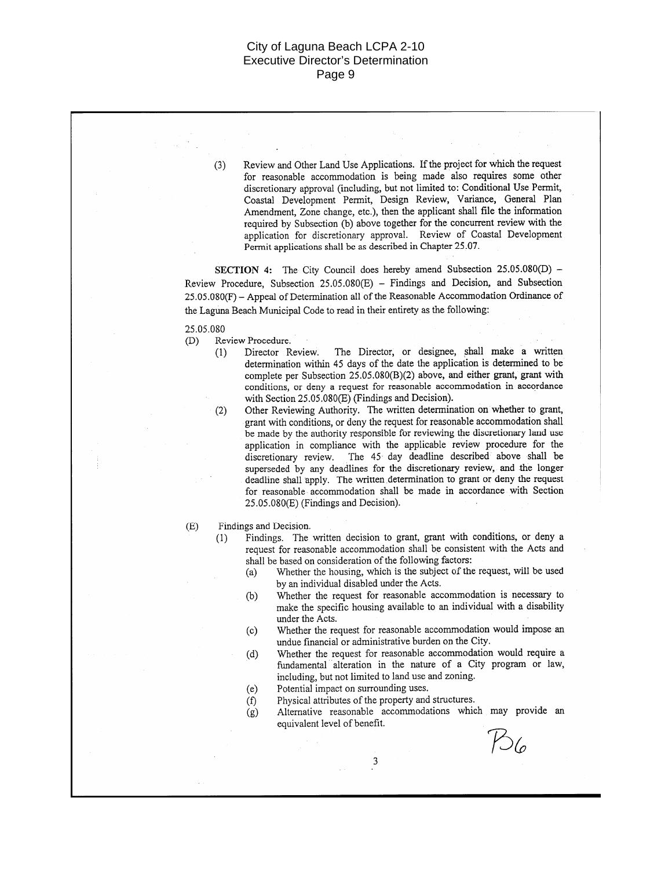Review and Other Land Use Applications. If the project for which the request  $(3)$ for reasonable accommodation is being made also requires some other discretionary approval (including, but not limited to: Conditional Use Permit, Coastal Development Permit, Design Review, Variance, General Plan Amendment, Zone change, etc.), then the applicant shall file the information required by Subsection (b) above together for the concurrent review with the application for discretionary approval. Review of Coastal Development Permit applications shall be as described in Chapter 25.07.

SECTION 4: The City Council does hereby amend Subsection 25.05.080(D) -Review Procedure, Subsection 25.05.080(E) - Findings and Decision, and Subsection 25.05.080(F) - Appeal of Determination all of the Reasonable Accommodation Ordinance of the Laguna Beach Municipal Code to read in their entirety as the following:

25.05.080

 $(2)$ 

 $(1)$ 

- Review Procedure.  $(D)$ 
	- The Director, or designee, shall make a written Director Review.  $(1)$ determination within 45 days of the date the application is determined to be complete per Subsection 25.05.080(B)(2) above, and either grant, grant with conditions, or deny a request for reasonable accommodation in accordance with Section 25.05.080(E) (Findings and Decision).
		- Other Reviewing Authority. The written determination on whether to grant, grant with conditions, or deny the request for reasonable accommodation shall be made by the authority responsible for reviewing the discretionary land use application in compliance with the applicable review procedure for the discretionary review. The 45 day deadline described above shall be superseded by any deadlines for the discretionary review, and the longer deadline shall apply. The written determination to grant or deny the request for reasonable accommodation shall be made in accordance with Section 25.05.080(E) (Findings and Decision).

Findings and Decision.  $(E)$ 

- Findings. The written decision to grant, grant with conditions, or deny a request for reasonable accommodation shall be consistent with the Acts and shall be based on consideration of the following factors:
	- Whether the housing, which is the subject of the request, will be used  $(a)$ by an individual disabled under the Acts.
	- Whether the request for reasonable accommodation is necessary to  $(b)$ make the specific housing available to an individual with a disability under the Acts.
	- Whether the request for reasonable accommodation would impose an  $(c)$ undue financial or administrative burden on the City.
	- Whether the request for reasonable accommodation would require a  $(d)$ fundamental alteration in the nature of a City program or law, including, but not limited to land use and zoning.
	- Potential impact on surrounding uses.  $(e)$
	- Physical attributes of the property and structures.  $(f)$

 $\overline{\mathbf{3}}$ 

Alternative reasonable accommodations which may provide an  $(g)$ equivalent level of benefit.

 $P_{06}$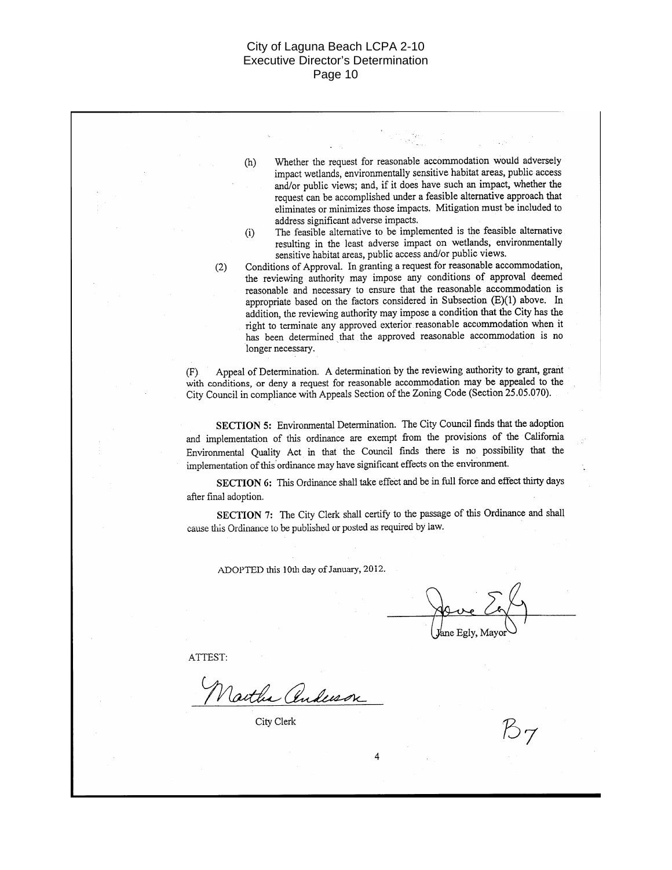Whether the request for reasonable accommodation would adversely  $(h)$ impact wetlands, environmentally sensitive habitat areas, public access and/or public views; and, if it does have such an impact, whether the request can be accomplished under a feasible alternative approach that eliminates or minimizes those impacts. Mitigation must be included to address significant adverse impacts. The feasible alternative to be implemented is the feasible alternative  $(i)$ resulting in the least adverse impact on wetlands, environmentally sensitive habitat areas, public access and/or public views. Conditions of Approval. In granting a request for reasonable accommodation,  $(2)$ the reviewing authority may impose any conditions of approval deemed reasonable and necessary to ensure that the reasonable accommodation is appropriate based on the factors considered in Subsection (E)(1) above. In addition, the reviewing authority may impose a condition that the City has the right to terminate any approved exterior reasonable accommodation when it has been determined that the approved reasonable accommodation is no longer necessary.

Appeal of Determination. A determination by the reviewing authority to grant, grant  $(F)$ with conditions, or deny a request for reasonable accommodation may be appealed to the City Council in compliance with Appeals Section of the Zoning Code (Section 25.05.070).

SECTION 5: Environmental Determination. The City Council finds that the adoption and implementation of this ordinance are exempt from the provisions of the California Environmental Quality Act in that the Council finds there is no possibility that the implementation of this ordinance may have significant effects on the environment.

SECTION 6: This Ordinance shall take effect and be in full force and effect thirty days after final adoption.

SECTION 7: The City Clerk shall certify to the passage of this Ordinance and shall cause this Ordinance to be published or posted as required by law.

4

ADOPTED this 10th day of January, 2012.

Jane Egly, Mayor

ATTEST:

Vartha Anderson

City Clerk

Ӄ7